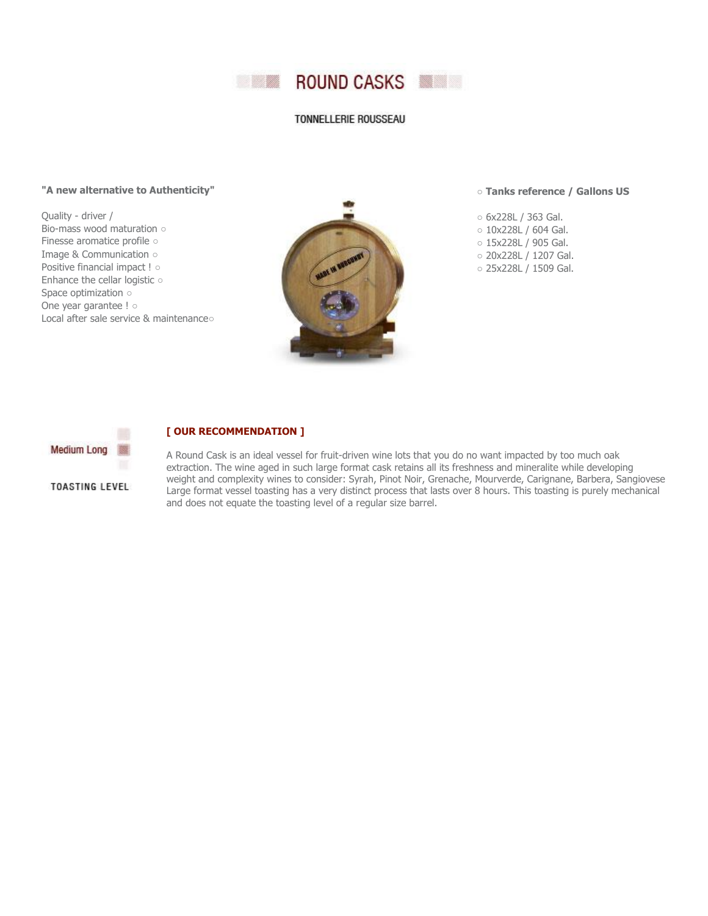

## TONNELLERIE ROUSSEAU

## **"A new alternative to Authenticity"**

Quality - driver / Bio-mass wood maturation ○ Finesse aromatice profile ○ Image & Communication ○ Positive financial impact ! ○ Enhance the cellar logistic ○ Space optimization ○ One year garantee ! o Local after sale service & maintenance○



○ **Tanks reference / Gallons US**

- 6x228L / 363 Gal.
- 10x228L / 604 Gal.
- 15x228L / 905 Gal.
- 20x228L / 1207 Gal.
- 25x228L / 1509 Gal.



## **[ OUR RECOMMENDATION ]**

**TOASTING LEVEL** 

A Round Cask is an ideal vessel for fruit-driven wine lots that you do no want impacted by too much oak extraction. The wine aged in such large format cask retains all its freshness and mineralite while developing weight and complexity wines to consider: Syrah, Pinot Noir, Grenache, Mourverde, Carignane, Barbera, Sangiovese Large format vessel toasting has a very distinct process that lasts over 8 hours. This toasting is purely mechanical and does not equate the toasting level of a regular size barrel.